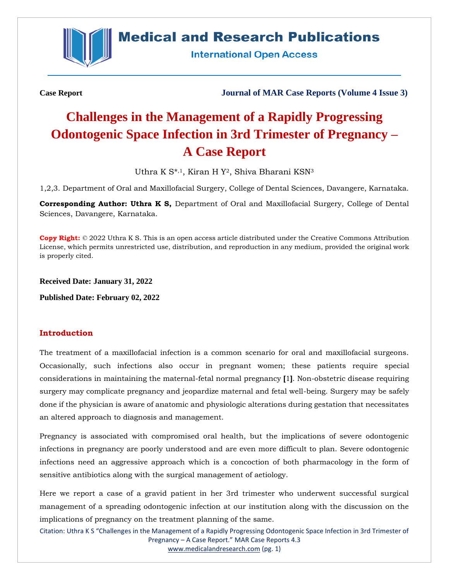

## **Medical and Research Publications**

**International Open Access** 

**Case Report Journal of MAR Case Reports (Volume 4 Issue 3)**

# **Challenges in the Management of a Rapidly Progressing Odontogenic Space Infection in 3rd Trimester of Pregnancy – A Case Report**

Uthra K S<sup>\*,1</sup>, Kiran H Y<sup>2</sup>, Shiva Bharani KSN<sup>3</sup>

1,2,3. Department of Oral and Maxillofacial Surgery, College of Dental Sciences, Davangere, Karnataka.

**Corresponding Author: Uthra K S,** Department of Oral and Maxillofacial Surgery, College of Dental Sciences, Davangere, Karnataka.

**Copy Right:** © 2022 Uthra K S. This is an open access article distributed under the Creative Commons Attribution License, which permits unrestricted use, distribution, and reproduction in any medium, provided the original work is properly cited.

**Received Date: January 31, 2022**

**Published Date: February 02, 2022**

### **Introduction**

The treatment of a maxillofacial infection is a common scenario for oral and maxillofacial surgeons. Occasionally, such infections also occur in pregnant women; these patients require special considerations in maintaining the maternal-fetal normal pregnancy **[**1**]**. Non-obstetric disease requiring surgery may complicate pregnancy and jeopardize maternal and fetal well-being. Surgery may be safely done if the physician is aware of anatomic and physiologic alterations during gestation that necessitates an altered approach to diagnosis and management.

Pregnancy is associated with compromised oral health, but the implications of severe odontogenic infections in pregnancy are poorly understood and are even more difficult to plan. Severe odontogenic infections need an aggressive approach which is a concoction of both pharmacology in the form of sensitive antibiotics along with the surgical management of aetiology.

Here we report a case of a gravid patient in her 3rd trimester who underwent successful surgical management of a spreading odontogenic infection at our institution along with the discussion on the implications of pregnancy on the treatment planning of the same.

Citation: Uthra K S "Challenges in the Management of a Rapidly Progressing Odontogenic Space Infection in 3rd Trimester of Pregnancy – A Case Report." MAR Case Reports 4.3 [www.medicalandresearch.com](http://www.medicalandresearch.com/) (pg. 1)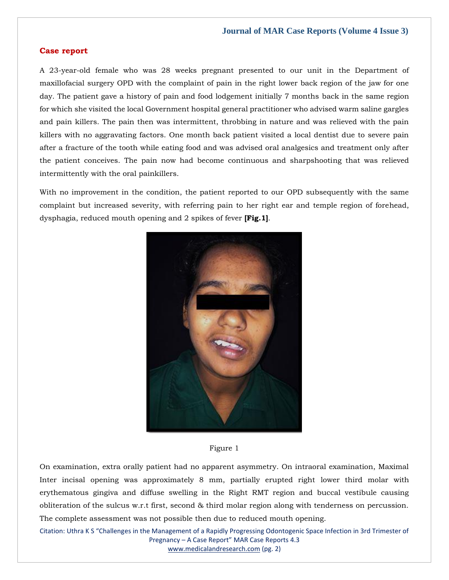#### **Case report**

A 23-year-old female who was 28 weeks pregnant presented to our unit in the Department of maxillofacial surgery OPD with the complaint of pain in the right lower back region of the jaw for one day. The patient gave a history of pain and food lodgement initially 7 months back in the same region for which she visited the local Government hospital general practitioner who advised warm saline gargles and pain killers. The pain then was intermittent, throbbing in nature and was relieved with the pain killers with no aggravating factors. One month back patient visited a local dentist due to severe pain after a fracture of the tooth while eating food and was advised oral analgesics and treatment only after the patient conceives. The pain now had become continuous and sharpshooting that was relieved intermittently with the oral painkillers.

With no improvement in the condition, the patient reported to our OPD subsequently with the same complaint but increased severity, with referring pain to her right ear and temple region of forehead, dysphagia, reduced mouth opening and 2 spikes of fever **[Fig.1]**.



Figure 1

On examination, extra orally patient had no apparent asymmetry. On intraoral examination, Maximal Inter incisal opening was approximately 8 mm, partially erupted right lower third molar with erythematous gingiva and diffuse swelling in the Right RMT region and buccal vestibule causing obliteration of the sulcus w.r.t first, second & third molar region along with tenderness on percussion. The complete assessment was not possible then due to reduced mouth opening.

Citation: Uthra K S "Challenges in the Management of a Rapidly Progressing Odontogenic Space Infection in 3rd Trimester of Pregnancy – A Case Report" MAR Case Reports 4.3 [www.medicalandresearch.com](http://www.medicalandresearch.com/) (pg. 2)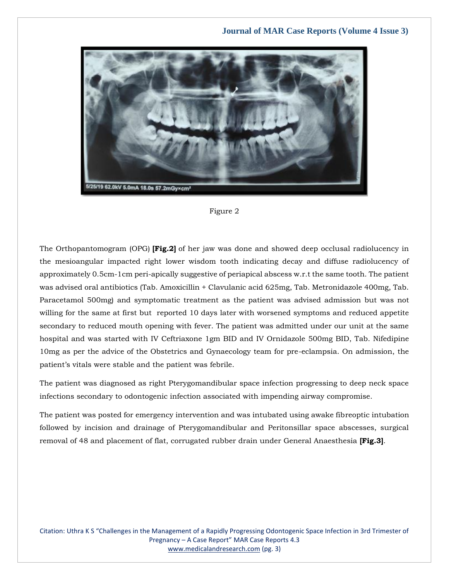



The Orthopantomogram (OPG) **[Fig.2]** of her jaw was done and showed deep occlusal radiolucency in the mesioangular impacted right lower wisdom tooth indicating decay and diffuse radiolucency of approximately 0.5cm-1cm peri-apically suggestive of periapical abscess w.r.t the same tooth. The patient was advised oral antibiotics (Tab. Amoxicillin + Clavulanic acid 625mg, Tab. Metronidazole 400mg, Tab. Paracetamol 500mg) and symptomatic treatment as the patient was advised admission but was not willing for the same at first but reported 10 days later with worsened symptoms and reduced appetite secondary to reduced mouth opening with fever. The patient was admitted under our unit at the same hospital and was started with IV Ceftriaxone 1gm BID and IV Ornidazole 500mg BID, Tab. Nifedipine 10mg as per the advice of the Obstetrics and Gynaecology team for pre-eclampsia. On admission, the patient's vitals were stable and the patient was febrile.

The patient was diagnosed as right Pterygomandibular space infection progressing to deep neck space infections secondary to odontogenic infection associated with impending airway compromise.

The patient was posted for emergency intervention and was intubated using awake fibreoptic intubation followed by incision and drainage of Pterygomandibular and Peritonsillar space abscesses, surgical removal of 48 and placement of flat, corrugated rubber drain under General Anaesthesia **[Fig.3]**.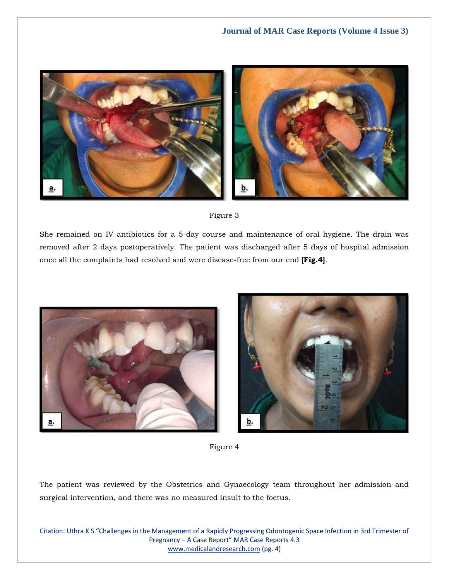



She remained on IV antibiotics for a 5-day course and maintenance of oral hygiene. The drain was removed after 2 days postoperatively. The patient was discharged after 5 days of hospital admission once all the complaints had resolved and were disease-free from our end **[Fig.4]**.





Figure 4

The patient was reviewed by the Obstetrics and Gynaecology team throughout her admission and surgical intervention, and there was no measured insult to the foetus.

Citation: Uthra K S "Challenges in the Management of a Rapidly Progressing Odontogenic Space Infection in 3rd Trimester of Pregnancy – A Case Report" MAR Case Reports 4.3 [www.medicalandresearch.com](http://www.medicalandresearch.com/) (pg. 4)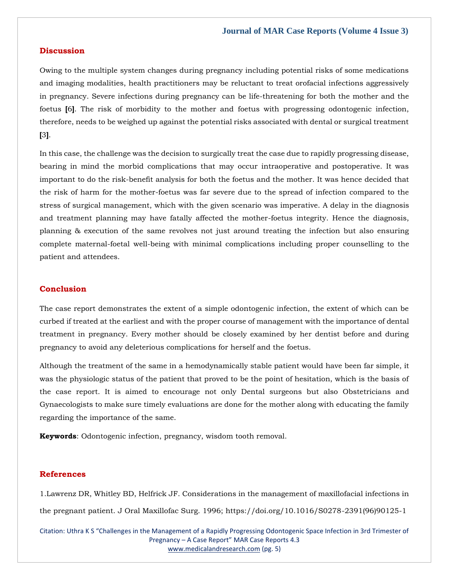#### **Discussion**

Owing to the multiple system changes during pregnancy including potential risks of some medications and imaging modalities, health practitioners may be reluctant to treat orofacial infections aggressively in pregnancy. Severe infections during pregnancy can be life-threatening for both the mother and the foetus **[**6**]**. The risk of morbidity to the mother and foetus with progressing odontogenic infection, therefore, needs to be weighed up against the potential risks associated with dental or surgical treatment **[**3**]**.

In this case, the challenge was the decision to surgically treat the case due to rapidly progressing disease, bearing in mind the morbid complications that may occur intraoperative and postoperative. It was important to do the risk-benefit analysis for both the foetus and the mother. It was hence decided that the risk of harm for the mother-foetus was far severe due to the spread of infection compared to the stress of surgical management, which with the given scenario was imperative. A delay in the diagnosis and treatment planning may have fatally affected the mother-foetus integrity. Hence the diagnosis, planning & execution of the same revolves not just around treating the infection but also ensuring complete maternal-foetal well-being with minimal complications including proper counselling to the patient and attendees.

#### **Conclusion**

The case report demonstrates the extent of a simple odontogenic infection, the extent of which can be curbed if treated at the earliest and with the proper course of management with the importance of dental treatment in pregnancy. Every mother should be closely examined by her dentist before and during pregnancy to avoid any deleterious complications for herself and the foetus.

Although the treatment of the same in a hemodynamically stable patient would have been far simple, it was the physiologic status of the patient that proved to be the point of hesitation, which is the basis of the case report. It is aimed to encourage not only Dental surgeons but also Obstetricians and Gynaecologists to make sure timely evaluations are done for the mother along with educating the family regarding the importance of the same.

**Keywords**: Odontogenic infection, pregnancy, wisdom tooth removal.

#### **References**

1.Lawrenz DR, Whitley BD, Helfrick JF. Considerations in the management of maxillofacial infections in the pregnant patient. J Oral Maxillofac Surg. 1996; https://doi.org/10.1016/S0278-2391(96)90125-1

Citation: Uthra K S "Challenges in the Management of a Rapidly Progressing Odontogenic Space Infection in 3rd Trimester of Pregnancy – A Case Report" MAR Case Reports 4.3 [www.medicalandresearch.com](http://www.medicalandresearch.com/) (pg. 5)